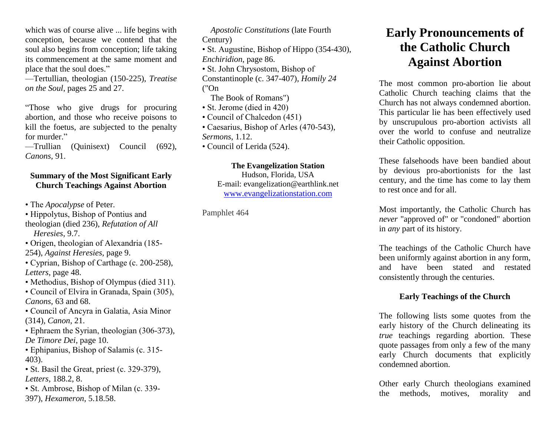which was of course alive ... life begins with conception, because we contend that the soul also begins from conception; life taking its commencement at the same moment and place that the soul does."

—Tertullian, theologian (150-225), *Treatise on the Soul*, pages 25 and 27.

"Those who give drugs for procuring abortion, and those who receive poisons to kill the foetus, are subjected to the penalty for murder."

—Trullian (Quinisext) Council (692), *Canons*, 91.

## **Summary of the Most Significant Early Church Teachings Against Abortion**

• The *Apocalypse* of Peter.

• Hippolytus, Bishop of Pontius and theologian (died 236), *Refutation of All*

 *Heresies*, 9.7.

• Origen, theologian of Alexandria (185-

254), *Against Heresies*, page 9.

- Cyprian, Bishop of Carthage (c. 200-258), *Letters*, page 48.
- Methodius, Bishop of Olympus (died 311).
- Council of Elvira in Granada, Spain (305), *Canons*, 63 and 68.
- Council of Ancyra in Galatia, Asia Minor (314), *Canon*, 21.
- Ephraem the Syrian, theologian (306-373), *De Timore Dei*, page 10.
- Ephipanius, Bishop of Salamis (c. 315- 403).
- St. Basil the Great, priest (c. 329-379), *Letters*, 188.2, 8.
- St. Ambrose, Bishop of Milan (c. 339-

397), *Hexameron*, 5.18.58.

 *Apostolic Constitutions* (late Fourth Century)

• St. Augustine, Bishop of Hippo (354-430), *Enchiridion*, page 86.

• St. John Chrysostom, Bishop of

Constantinople (c. 347-407), *Homily 24* ("On

The Book of Romans")

- St. Jerome (died in 420)
- Council of Chalcedon (451)
- Caesarius, Bishop of Arles (470-543), *Sermons*, 1.12.
- Council of Lerida (524).

## **The Evangelization Station**

Hudson, Florida, USA E-mail: evangelization@earthlink.net [www.evangelizationstation.com](http://www.pjpiisoe.org/)

Pamphlet 464

## **Early Pronouncements of the Catholic Church Against Abortion**

The most common pro-abortion lie about Catholic Church teaching claims that the Church has not always condemned abortion. This particular lie has been effectively used by unscrupulous pro-abortion activists all over the world to confuse and neutralize their Catholic opposition.

These falsehoods have been bandied about by devious pro-abortionists for the last century, and the time has come to lay them to rest once and for all.

Most importantly, the Catholic Church has *never* "approved of" or "condoned" abortion in *any* part of its history.

The teachings of the Catholic Church have been uniformly against abortion in any form, and have been stated and restated consistently through the centuries.

## **Early Teachings of the Church**

The following lists some quotes from the early history of the Church delineating its *true* teachings regarding abortion. These quote passages from only a few of the many early Church documents that explicitly condemned abortion.

Other early Church theologians examined the methods, motives, morality and